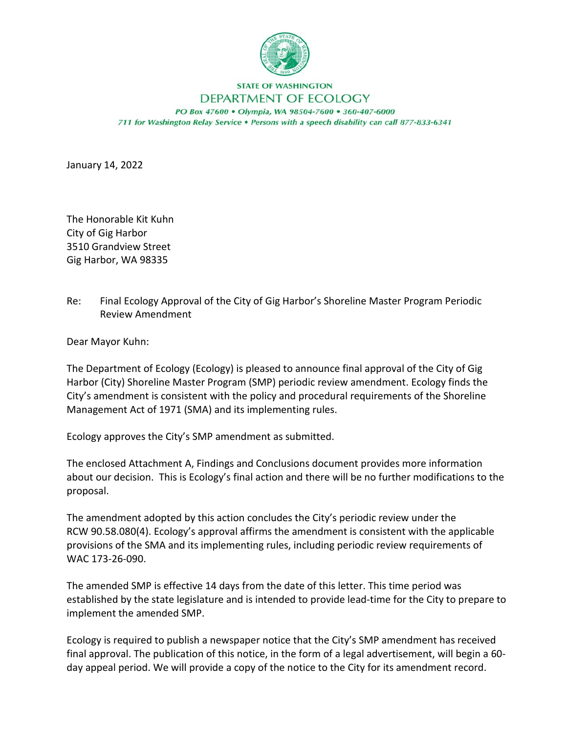

## **STATE OF WASHINGTON**

## DEPARTMENT OF ECOLOGY

PO Box 47600 · Olympia, WA 98504-7600 · 360-407-6000 711 for Washington Relay Service . Persons with a speech disability can call 877-833-6341

January 14, 2022

The Honorable Kit Kuhn City of Gig Harbor 3510 Grandview Street Gig Harbor, WA 98335

Re: Final Ecology Approval of the City of Gig Harbor's Shoreline Master Program Periodic Review Amendment

Dear Mayor Kuhn:

The Department of Ecology (Ecology) is pleased to announce final approval of the City of Gig Harbor (City) Shoreline Master Program (SMP) periodic review amendment. Ecology finds the City's amendment is consistent with the policy and procedural requirements of the Shoreline Management Act of 1971 (SMA) and its implementing rules.

Ecology approves the City's SMP amendment as submitted.

The enclosed Attachment A, Findings and Conclusions document provides more information about our decision. This is Ecology's final action and there will be no further modifications to the proposal.

The amendment adopted by this action concludes the City's periodic review under the RCW 90.58.080(4). Ecology's approval affirms the amendment is consistent with the applicable provisions of the SMA and its implementing rules, including periodic review requirements of WAC 173-26-090.

The amended SMP is effective 14 days from the date of this letter. This time period was established by the state legislature and is intended to provide lead-time for the City to prepare to implement the amended SMP.

Ecology is required to publish a newspaper notice that the City's SMP amendment has received final approval. The publication of this notice, in the form of a legal advertisement, will begin a 60 day appeal period. We will provide a copy of the notice to the City for its amendment record.